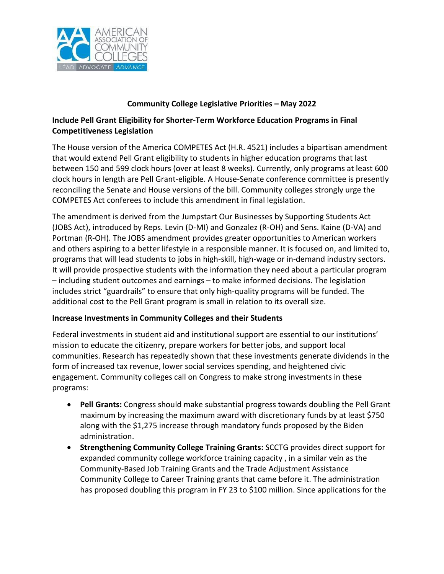

## **Community College Legislative Priorities – May 2022**

## **Include Pell Grant Eligibility for Shorter-Term Workforce Education Programs in Final Competitiveness Legislation**

The House version of the America COMPETES Act (H.R. 4521) includes a bipartisan amendment that would extend Pell Grant eligibility to students in higher education programs that last between 150 and 599 clock hours (over at least 8 weeks). Currently, only programs at least 600 clock hours in length are Pell Grant-eligible. A House-Senate conference committee is presently reconciling the Senate and House versions of the bill. Community colleges strongly urge the COMPETES Act conferees to include this amendment in final legislation.

The amendment is derived from the Jumpstart Our Businesses by Supporting Students Act (JOBS Act), introduced by Reps. Levin (D-MI) and Gonzalez (R-OH) and Sens. Kaine (D-VA) and Portman (R-OH). The JOBS amendment provides greater opportunities to American workers and others aspiring to a better lifestyle in a responsible manner. It is focused on, and limited to, programs that will lead students to jobs in high-skill, high-wage or in-demand industry sectors. It will provide prospective students with the information they need about a particular program – including student outcomes and earnings – to make informed decisions. The legislation includes strict "guardrails" to ensure that only high-quality programs will be funded. The additional cost to the Pell Grant program is small in relation to its overall size.

## **Increase Investments in Community Colleges and their Students**

Federal investments in student aid and institutional support are essential to our institutions' mission to educate the citizenry, prepare workers for better jobs, and support local communities. Research has repeatedly shown that these investments generate dividends in the form of increased tax revenue, lower social services spending, and heightened civic engagement. Community colleges call on Congress to make strong investments in these programs:

- **Pell Grants:** Congress should make substantial progress towards doubling the Pell Grant maximum by increasing the maximum award with discretionary funds by at least \$750 along with the \$1,275 increase through mandatory funds proposed by the Biden administration.
- **Strengthening Community College Training Grants:** SCCTG provides direct support for expanded community college workforce training capacity , in a similar vein as the Community-Based Job Training Grants and the Trade Adjustment Assistance Community College to Career Training grants that came before it. The administration has proposed doubling this program in FY 23 to \$100 million. Since applications for the